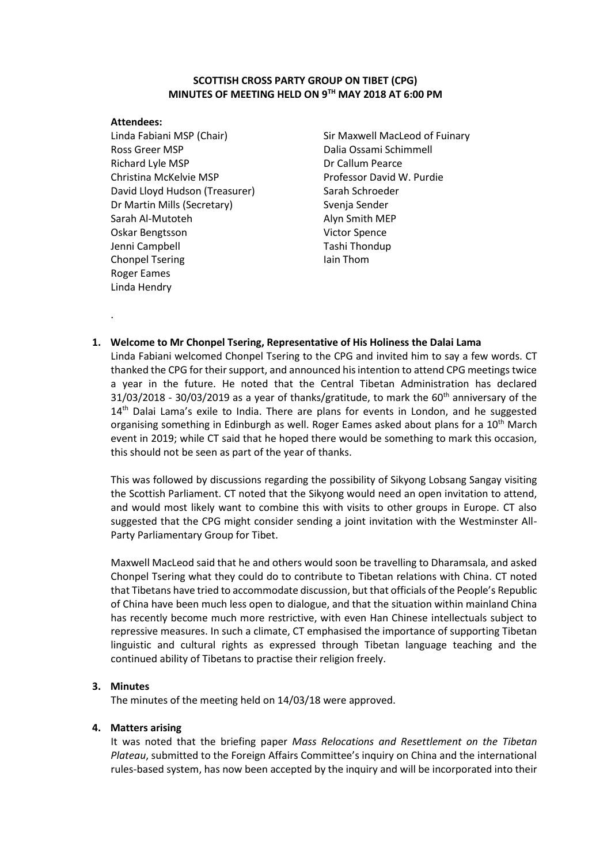# **SCOTTISH CROSS PARTY GROUP ON TIBET (CPG) MINUTES OF MEETING HELD ON 9 TH MAY 2018 AT 6:00 PM**

#### **Attendees:**

.

Linda Fabiani MSP (Chair) Ross Greer MSP Richard Lyle MSP Christina McKelvie MSP David Lloyd Hudson (Treasurer) Dr Martin Mills (Secretary) Sarah Al-Mutoteh Oskar Bengtsson Jenni Campbell Chonpel Tsering Roger Eames Linda Hendry

Sir Maxwell MacLeod of Fuinary Dalia Ossami Schimmell Dr Callum Pearce Professor David W. Purdie Sarah Schroeder Svenja Sender Alyn Smith MEP Victor Spence Tashi Thondup Iain Thom

# **1. Welcome to Mr Chonpel Tsering, Representative of His Holiness the Dalai Lama** Linda Fabiani welcomed Chonpel Tsering to the CPG and invited him to say a few words. CT

thanked the CPG for their support, and announced his intention to attend CPG meetings twice a year in the future. He noted that the Central Tibetan Administration has declared  $31/03/2018$  -  $30/03/2019$  as a year of thanks/gratitude, to mark the  $60<sup>th</sup>$  anniversary of the  $14<sup>th</sup>$  Dalai Lama's exile to India. There are plans for events in London, and he suggested organising something in Edinburgh as well. Roger Eames asked about plans for a 10<sup>th</sup> March event in 2019; while CT said that he hoped there would be something to mark this occasion, this should not be seen as part of the year of thanks.

This was followed by discussions regarding the possibility of Sikyong Lobsang Sangay visiting the Scottish Parliament. CT noted that the Sikyong would need an open invitation to attend, and would most likely want to combine this with visits to other groups in Europe. CT also suggested that the CPG might consider sending a joint invitation with the Westminster All-Party Parliamentary Group for Tibet.

Maxwell MacLeod said that he and others would soon be travelling to Dharamsala, and asked Chonpel Tsering what they could do to contribute to Tibetan relations with China. CT noted that Tibetans have tried to accommodate discussion, but that officials of the People's Republic of China have been much less open to dialogue, and that the situation within mainland China has recently become much more restrictive, with even Han Chinese intellectuals subject to repressive measures. In such a climate, CT emphasised the importance of supporting Tibetan linguistic and cultural rights as expressed through Tibetan language teaching and the continued ability of Tibetans to practise their religion freely.

### **3. Minutes**

The minutes of the meeting held on 14/03/18 were approved.

### **4. Matters arising**

It was noted that the briefing paper *Mass Relocations and Resettlement on the Tibetan Plateau*, submitted to the Foreign Affairs Committee's inquiry on China and the international rules-based system, has now been accepted by the inquiry and will be incorporated into their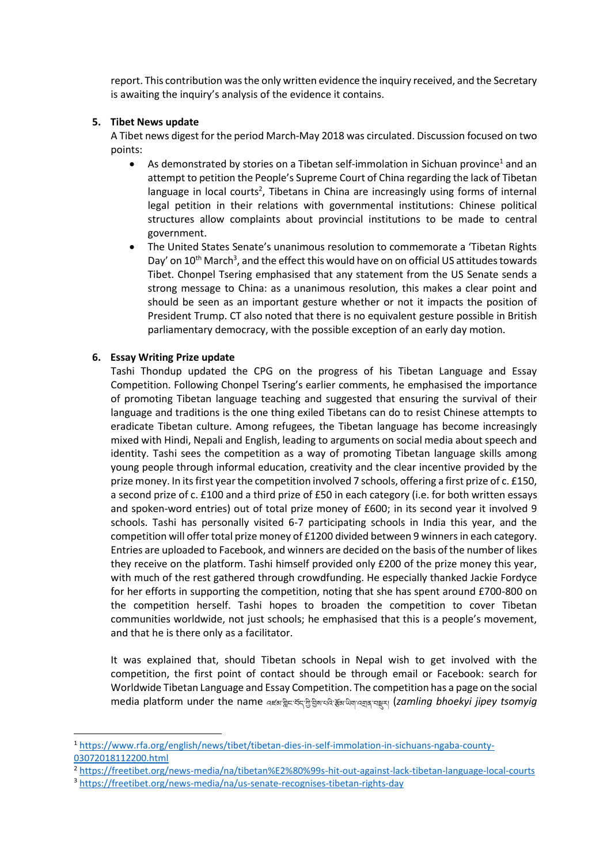report. This contribution was the only written evidence the inquiry received, and the Secretary is awaiting the inquiry's analysis of the evidence it contains.

### **5. Tibet News update**

A Tibet news digest for the period March-May 2018 was circulated. Discussion focused on two points:

- As demonstrated by stories on a Tibetan self-immolation in Sichuan province<sup>1</sup> and an attempt to petition the People's Supreme Court of China regarding the lack of Tibetan language in local courts<sup>2</sup>, Tibetans in China are increasingly using forms of internal legal petition in their relations with governmental institutions: Chinese political structures allow complaints about provincial institutions to be made to central government.
- The United States Senate's unanimous resolution to commemorate a 'Tibetan Rights Day' on  $10^{th}$  March<sup>3</sup>, and the effect this would have on on official US attitudes towards Tibet. Chonpel Tsering emphasised that any statement from the US Senate sends a strong message to China: as a unanimous resolution, this makes a clear point and should be seen as an important gesture whether or not it impacts the position of President Trump. CT also noted that there is no equivalent gesture possible in British parliamentary democracy, with the possible exception of an early day motion.

### **6. Essay Writing Prize update**

1

Tashi Thondup updated the CPG on the progress of his Tibetan Language and Essay Competition. Following Chonpel Tsering's earlier comments, he emphasised the importance of promoting Tibetan language teaching and suggested that ensuring the survival of their language and traditions is the one thing exiled Tibetans can do to resist Chinese attempts to eradicate Tibetan culture. Among refugees, the Tibetan language has become increasingly mixed with Hindi, Nepali and English, leading to arguments on social media about speech and identity. Tashi sees the competition as a way of promoting Tibetan language skills among young people through informal education, creativity and the clear incentive provided by the prize money. In its first year the competition involved 7 schools, offering a first prize of c. £150, a second prize of c. £100 and a third prize of £50 in each category (i.e. for both written essays and spoken-word entries) out of total prize money of £600; in its second year it involved 9 schools. Tashi has personally visited 6-7 participating schools in India this year, and the competition will offer total prize money of £1200 divided between 9 winners in each category. Entries are uploaded to Facebook, and winners are decided on the basis of the number of likes they receive on the platform. Tashi himself provided only £200 of the prize money this year, with much of the rest gathered through crowdfunding. He especially thanked Jackie Fordyce for her efforts in supporting the competition, noting that she has spent around £700-800 on the competition herself. Tashi hopes to broaden the competition to cover Tibetan communities worldwide, not just schools; he emphasised that this is a people's movement, and that he is there only as a facilitator.

It was explained that, should Tibetan schools in Nepal wish to get involved with the competition, the first point of contact should be through email or Facebook: search for Worldwide Tibetan Language and Essay Competition. The competition has a page on the social media platform under the name འཛམ་གླིང་བོད་ཀླི་བླིས་པའླི་རོམ་ཡླིག་འགྲན་བསྡུར། (*zamling bhoekyi jipey tsomyig*

<sup>1</sup> [https://www.rfa.org/english/news/tibet/tibetan-dies-in-self-immolation-in-sichuans-ngaba-county-](https://www.rfa.org/english/news/tibet/tibetan-dies-in-self-immolation-in-sichuans-ngaba-county-03072018112200.html)[03072018112200.html](https://www.rfa.org/english/news/tibet/tibetan-dies-in-self-immolation-in-sichuans-ngaba-county-03072018112200.html)

<sup>2</sup> <https://freetibet.org/news-media/na/tibetan%E2%80%99s-hit-out-against-lack-tibetan-language-local-courts>

<sup>3</sup> <https://freetibet.org/news-media/na/us-senate-recognises-tibetan-rights-day>